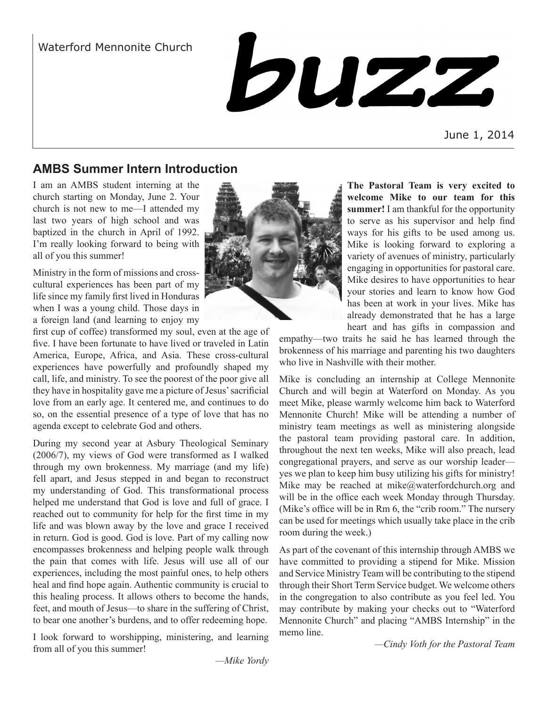

June 1, 2014

# **AMBS Summer Intern Introduction**

I am an AMBS student interning at the church starting on Monday, June 2. Your church is not new to me—I attended my last two years of high school and was baptized in the church in April of 1992. I'm really looking forward to being with all of you this summer!

Ministry in the form of missions and crosscultural experiences has been part of my life since my family first lived in Honduras when I was a young child. Those days in a foreign land (and learning to enjoy my

first cup of coffee) transformed my soul, even at the age of five. I have been fortunate to have lived or traveled in Latin America, Europe, Africa, and Asia. These cross-cultural experiences have powerfully and profoundly shaped my call, life, and ministry. To see the poorest of the poor give all they have in hospitality gave me a picture of Jesus' sacrificial love from an early age. It centered me, and continues to do so, on the essential presence of a type of love that has no agenda except to celebrate God and others.

During my second year at Asbury Theological Seminary (2006/7), my views of God were transformed as I walked through my own brokenness. My marriage (and my life) fell apart, and Jesus stepped in and began to reconstruct my understanding of God. This transformational process helped me understand that God is love and full of grace. I reached out to community for help for the first time in my life and was blown away by the love and grace I received in return. God is good. God is love. Part of my calling now encompasses brokenness and helping people walk through the pain that comes with life. Jesus will use all of our experiences, including the most painful ones, to help others heal and find hope again. Authentic community is crucial to this healing process. It allows others to become the hands, feet, and mouth of Jesus—to share in the suffering of Christ, to bear one another's burdens, and to offer redeeming hope.

I look forward to worshipping, ministering, and learning from all of you this summer!



**The Pastoral Team is very excited to welcome Mike to our team for this summer!** I am thankful for the opportunity to serve as his supervisor and help find ways for his gifts to be used among us. Mike is looking forward to exploring a variety of avenues of ministry, particularly engaging in opportunities for pastoral care. Mike desires to have opportunities to hear your stories and learn to know how God has been at work in your lives. Mike has already demonstrated that he has a large heart and has gifts in compassion and

empathy—two traits he said he has learned through the brokenness of his marriage and parenting his two daughters who live in Nashville with their mother.

Mike is concluding an internship at College Mennonite Church and will begin at Waterford on Monday. As you meet Mike, please warmly welcome him back to Waterford Mennonite Church! Mike will be attending a number of ministry team meetings as well as ministering alongside the pastoral team providing pastoral care. In addition, throughout the next ten weeks, Mike will also preach, lead congregational prayers, and serve as our worship leader yes we plan to keep him busy utilizing his gifts for ministry! Mike may be reached at mike@waterfordchurch.org and will be in the office each week Monday through Thursday. (Mike's office will be in Rm 6, the "crib room." The nursery can be used for meetings which usually take place in the crib room during the week.)

As part of the covenant of this internship through AMBS we have committed to providing a stipend for Mike. Mission and Service Ministry Team will be contributing to the stipend through their Short Term Service budget. We welcome others in the congregation to also contribute as you feel led. You may contribute by making your checks out to "Waterford Mennonite Church" and placing "AMBS Internship" in the memo line.

*—Cindy Voth for the Pastoral Team* 

*—Mike Yordy*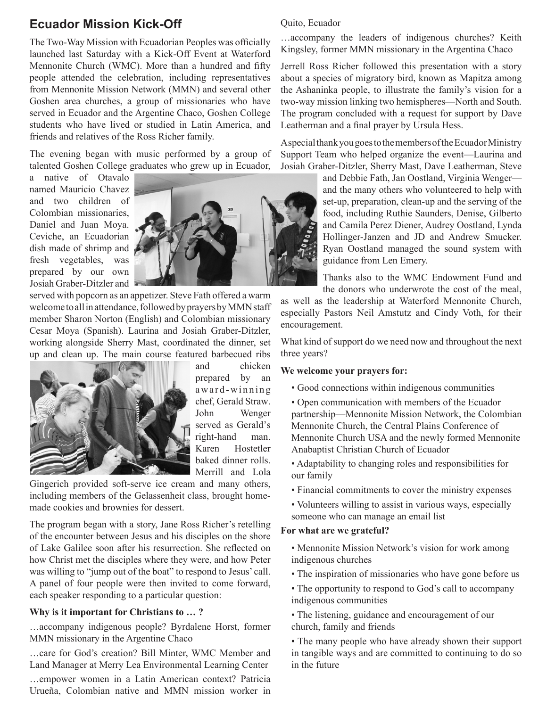## **Ecuador Mission Kick-Off**

The Two-Way Mission with Ecuadorian Peoples was officially launched last Saturday with a Kick-Off Event at Waterford Mennonite Church (WMC). More than a hundred and fifty people attended the celebration, including representatives from Mennonite Mission Network (MMN) and several other Goshen area churches, a group of missionaries who have served in Ecuador and the Argentine Chaco, Goshen College students who have lived or studied in Latin America, and friends and relatives of the Ross Richer family.

The evening began with music performed by a group of talented Goshen College graduates who grew up in Ecuador,

a native of Otavalo named Mauricio Chavez and two children of Colombian missionaries, Daniel and Juan Moya. Ceviche, an Ecuadorian dish made of shrimp and fresh vegetables, was prepared by our own Josiah Graber-Ditzler and



served with popcorn as an appetizer. Steve Fath offered a warm welcome to all in attendance, followed by prayers by MMN staff member Sharon Norton (English) and Colombian missionary Cesar Moya (Spanish). Laurina and Josiah Graber-Ditzler, working alongside Sherry Mast, coordinated the dinner, set up and clean up. The main course featured barbecued ribs



and chicken prepared by an award-winning chef, Gerald Straw. John Wenger served as Gerald's right-hand man. Karen Hostetler baked dinner rolls. Merrill and Lola

Gingerich provided soft-serve ice cream and many others, including members of the Gelassenheit class, brought homemade cookies and brownies for dessert.

The program began with a story, Jane Ross Richer's retelling of the encounter between Jesus and his disciples on the shore of Lake Galilee soon after his resurrection. She reflected on how Christ met the disciples where they were, and how Peter was willing to "jump out of the boat" to respond to Jesus' call. A panel of four people were then invited to come forward, each speaker responding to a particular question:

#### **Why is it important for Christians to … ?**

…accompany indigenous people? Byrdalene Horst, former MMN missionary in the Argentine Chaco

…care for God's creation? Bill Minter, WMC Member and Land Manager at Merry Lea Environmental Learning Center

…empower women in a Latin American context? Patricia Urueña, Colombian native and MMN mission worker in

#### Quito, Ecuador

…accompany the leaders of indigenous churches? Keith Kingsley, former MMN missionary in the Argentina Chaco

Jerrell Ross Richer followed this presentation with a story about a species of migratory bird, known as Mapitza among the Ashaninka people, to illustrate the family's vision for a two-way mission linking two hemispheres—North and South. The program concluded with a request for support by Dave Leatherman and a final prayer by Ursula Hess.

A special thank you goes to the members of the Ecuador Ministry Support Team who helped organize the event—Laurina and Josiah Graber-Ditzler, Sherry Mast, Dave Leatherman, Steve

and Debbie Fath, Jan Oostland, Virginia Wenger and the many others who volunteered to help with set-up, preparation, clean-up and the serving of the food, including Ruthie Saunders, Denise, Gilberto and Camila Perez Diener, Audrey Oostland, Lynda Hollinger-Janzen and JD and Andrew Smucker. Ryan Oostland managed the sound system with guidance from Len Emery.

Thanks also to the WMC Endowment Fund and the donors who underwrote the cost of the meal,

as well as the leadership at Waterford Mennonite Church, especially Pastors Neil Amstutz and Cindy Voth, for their encouragement.

What kind of support do we need now and throughout the next three years?

#### **We welcome your prayers for:**

- Good connections within indigenous communities
- Open communication with members of the Ecuador partnership—Mennonite Mission Network, the Colombian Mennonite Church, the Central Plains Conference of Mennonite Church USA and the newly formed Mennonite Anabaptist Christian Church of Ecuador
- Adaptability to changing roles and responsibilities for our family
- Financial commitments to cover the ministry expenses
- Volunteers willing to assist in various ways, especially someone who can manage an email list

#### **For what are we grateful?**

• Mennonite Mission Network's vision for work among indigenous churches

- The inspiration of missionaries who have gone before us
- The opportunity to respond to God's call to accompany indigenous communities
- The listening, guidance and encouragement of our church, family and friends

• The many people who have already shown their support in tangible ways and are committed to continuing to do so in the future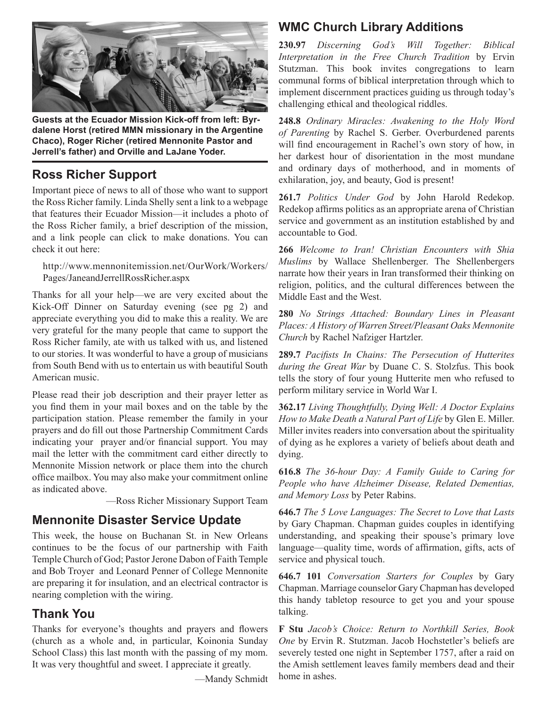

**Guests at the Ecuador Mission Kick-off from left: Byrdalene Horst (retired MMN missionary in the Argentine Chaco), Roger Richer (retired Mennonite Pastor and Jerrell's father) and Orville and LaJane Yoder.**

## **Ross Richer Support**

Important piece of news to all of those who want to support the Ross Richer family. Linda Shelly sent a link to a webpage that features their Ecuador Mission—it includes a photo of the Ross Richer family, a brief description of the mission, and a link people can click to make donations. You can check it out here:

http://www.mennonitemission.net/OurWork/Workers/ Pages/JaneandJerrellRossRicher.aspx

Thanks for all your help—we are very excited about the Kick-Off Dinner on Saturday evening (see pg 2) and appreciate everything you did to make this a reality. We are very grateful for the many people that came to support the Ross Richer family, ate with us talked with us, and listened to our stories. It was wonderful to have a group of musicians from South Bend with us to entertain us with beautiful South American music.

Please read their job description and their prayer letter as you find them in your mail boxes and on the table by the participation station. Please remember the family in your prayers and do fill out those Partnership Commitment Cards indicating your prayer and/or financial support. You may mail the letter with the commitment card either directly to Mennonite Mission network or place them into the church office mailbox. You may also make your commitment online as indicated above.

—Ross Richer Missionary Support Team

## **Mennonite Disaster Service Update**

This week, the house on Buchanan St. in New Orleans continues to be the focus of our partnership with Faith Temple Church of God; Pastor Jerone Dabon of Faith Temple and Bob Troyer and Leonard Penner of College Mennonite are preparing it for insulation, and an electrical contractor is nearing completion with the wiring.

### **Thank You**

Thanks for everyone's thoughts and prayers and flowers (church as a whole and, in particular, Koinonia Sunday School Class) this last month with the passing of my mom. It was very thoughtful and sweet. I appreciate it greatly.

—Mandy Schmidt

## **WMC Church Library Additions**

**230.97** *Discerning God's Will Together: Biblical Interpretation in the Free Church Tradition* by Ervin Stutzman. This book invites congregations to learn communal forms of biblical interpretation through which to implement discernment practices guiding us through today's challenging ethical and theological riddles.

**248.8** *Ordinary Miracles: Awakening to the Holy Word of Parenting* by Rachel S. Gerber. Overburdened parents will find encouragement in Rachel's own story of how, in her darkest hour of disorientation in the most mundane and ordinary days of motherhood, and in moments of exhilaration, joy, and beauty, God is present!

**261.7** *Politics Under God* by John Harold Redekop. Redekop affirms politics as an appropriate arena of Christian service and government as an institution established by and accountable to God.

**266** *Welcome to Iran! Christian Encounters with Shia Muslims* by Wallace Shellenberger. The Shellenbergers narrate how their years in Iran transformed their thinking on religion, politics, and the cultural differences between the Middle East and the West.

**280** *No Strings Attached: Boundary Lines in Pleasant Places: A History of Warren Street/Pleasant Oaks Mennonite Church* by Rachel Nafziger Hartzler.

**289.7** *Pacifists In Chains: The Persecution of Hutterites during the Great War* by Duane C. S. Stolzfus. This book tells the story of four young Hutterite men who refused to perform military service in World War I.

**362.17** *Living Thoughtfully, Dying Well: A Doctor Explains How to Make Death a Natural Part of Life* by Glen E. Miller. Miller invites readers into conversation about the spirituality of dying as he explores a variety of beliefs about death and dying.

**616.8** *The 36-hour Day: A Family Guide to Caring for People who have Alzheimer Disease, Related Dementias, and Memory Loss* by Peter Rabins.

**646.7** *The 5 Love Languages: The Secret to Love that Lasts* by Gary Chapman. Chapman guides couples in identifying understanding, and speaking their spouse's primary love language—quality time, words of affirmation, gifts, acts of service and physical touch.

**646.7 101** *Conversation Starters for Couples* by Gary Chapman. Marriage counselor Gary Chapman has developed this handy tabletop resource to get you and your spouse talking.

**F Stu** *Jacob's Choice: Return to Northkill Series, Book One* by Ervin R. Stutzman. Jacob Hochstetler's beliefs are severely tested one night in September 1757, after a raid on the Amish settlement leaves family members dead and their home in ashes.